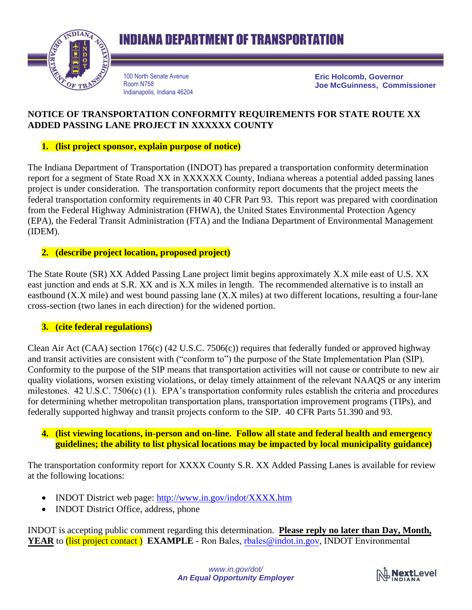

## **INDIANA DEPARTMENT OF TRANSPORTATION**

100 North Senate Avenue Room N758 Indianapolis, Indiana 46204 **Eric Holcomb, Governor Joe McGuinness, Commissioner**

#### **NOTICE OF TRANSPORTATION CONFORMITY REQUIREMENTS FOR STATE ROUTE XX ADDED PASSING LANE PROJECT IN XXXXXX COUNTY**

#### **1. (list project sponsor, explain purpose of notice)**

The Indiana Department of Transportation (INDOT) has prepared a transportation conformity determination report for a segment of State Road XX in XXXXXX County, Indiana whereas a potential added passing lanes project is under consideration. The transportation conformity report documents that the project meets the federal transportation conformity requirements in 40 CFR Part 93. This report was prepared with coordination from the Federal Highway Administration (FHWA), the United States Environmental Protection Agency (EPA), the Federal Transit Administration (FTA) and the Indiana Department of Environmental Management (IDEM).

#### **2. (describe project location, proposed project)**

The State Route (SR) XX Added Passing Lane project limit begins approximately X.X mile east of U.S. XX east junction and ends at S.R. XX and is X.X miles in length. The recommended alternative is to install an eastbound (X.X mile) and west bound passing lane (X.X miles) at two different locations, resulting a four-lane cross-section (two lanes in each direction) for the widened portion.

#### **3. (cite federal regulations)**

Clean Air Act (CAA) section 176(c) (42 U.S.C. 7506(c)) requires that federally funded or approved highway and transit activities are consistent with ("conform to") the purpose of the State Implementation Plan (SIP). Conformity to the purpose of the SIP means that transportation activities will not cause or contribute to new air quality violations, worsen existing violations, or delay timely attainment of the relevant NAAQS or any interim milestones. 42 U.S.C. 7506(c) (1). EPA's transportation conformity rules establish the criteria and procedures for determining whether metropolitan transportation plans, transportation improvement programs (TIPs), and federally supported highway and transit projects conform to the SIP. 40 CFR Parts 51.390 and 93.

**4. (list viewing locations, in-person and on-line. Follow all state and federal health and emergency guidelines; the ability to list physical locations may be impacted by local municipality guidance)**

The transportation conformity report for XXXX County S.R. XX Added Passing Lanes is available for review at the following locations:

- INDOT District web page:<http://www.in.gov/indot/XXXX.htm>
- INDOT District Office, address, phone

INDOT is accepting public comment regarding this determination. **Please reply no later than Day, Month, YEAR** to (list project contact) **EXAMPLE** - Ron Bales, rbales[@indot.in.gov,](mailto:rbales@indot.in.gov) INDOT Environmental